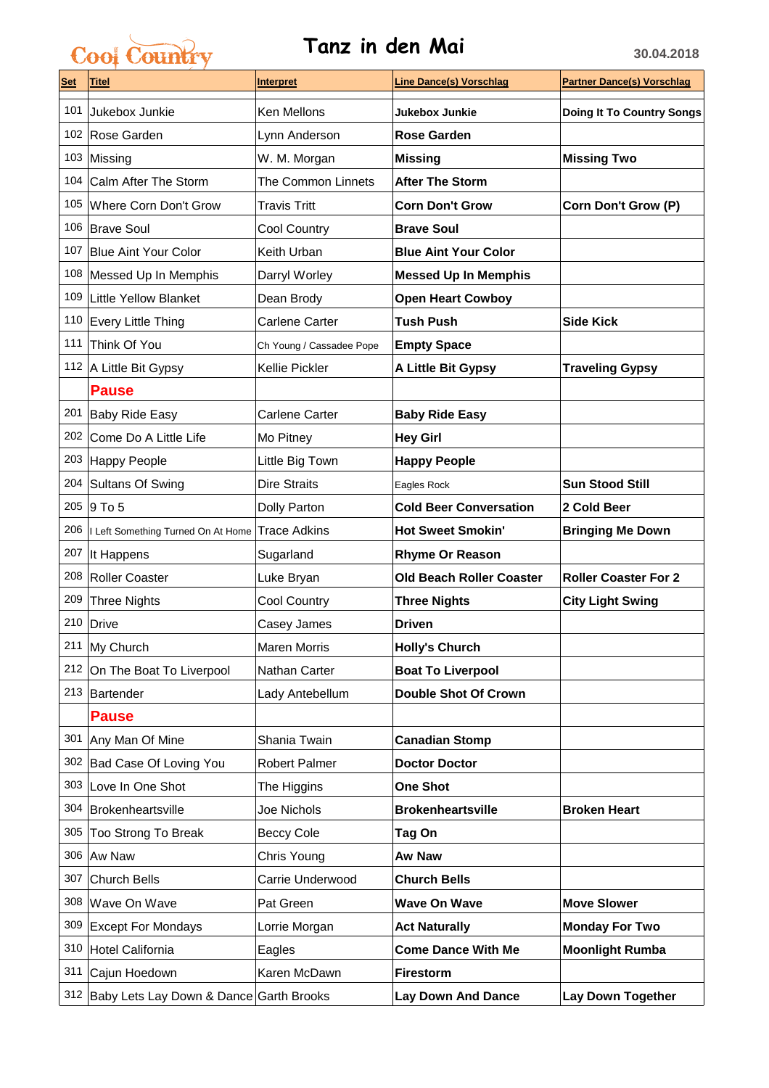## Cool Country **Tanz in den Mai 30.04.2018**

| <u>Set</u> | <b>Titel</b>                                | <u>Interpret</u>         | <b>Line Dance(s) Vorschlag</b>  | <b>Partner Dance(s) Vorschlag</b> |
|------------|---------------------------------------------|--------------------------|---------------------------------|-----------------------------------|
| 101        | Jukebox Junkie                              | Ken Mellons              | Jukebox Junkie                  | <b>Doing It To Country Songs</b>  |
|            | 102 Rose Garden                             | Lynn Anderson            | <b>Rose Garden</b>              |                                   |
|            | 103 Missing                                 | W. M. Morgan             | <b>Missing</b>                  | <b>Missing Two</b>                |
| 104        | Calm After The Storm                        | The Common Linnets       | <b>After The Storm</b>          |                                   |
| 105        | Where Corn Don't Grow                       | <b>Travis Tritt</b>      | <b>Corn Don't Grow</b>          | Corn Don't Grow (P)               |
| 106        | <b>Brave Soul</b>                           | <b>Cool Country</b>      | <b>Brave Soul</b>               |                                   |
| 107        | <b>Blue Aint Your Color</b>                 | Keith Urban              | <b>Blue Aint Your Color</b>     |                                   |
| 108        | Messed Up In Memphis                        | Darryl Worley            | <b>Messed Up In Memphis</b>     |                                   |
| 109        | <b>Little Yellow Blanket</b>                | Dean Brody               | <b>Open Heart Cowboy</b>        |                                   |
| 110        | <b>Every Little Thing</b>                   | Carlene Carter           | <b>Tush Push</b>                | <b>Side Kick</b>                  |
| 111        | Think Of You                                | Ch Young / Cassadee Pope | <b>Empty Space</b>              |                                   |
|            | 112 A Little Bit Gypsy                      | Kellie Pickler           | A Little Bit Gypsy              | <b>Traveling Gypsy</b>            |
|            | <b>Pause</b>                                |                          |                                 |                                   |
|            | 201 Baby Ride Easy                          | Carlene Carter           | <b>Baby Ride Easy</b>           |                                   |
| 202        | Come Do A Little Life                       | Mo Pitney                | <b>Hey Girl</b>                 |                                   |
| 203        | Happy People                                | Little Big Town          | <b>Happy People</b>             |                                   |
| 204        | <b>Sultans Of Swing</b>                     | Dire Straits             | Eagles Rock                     | <b>Sun Stood Still</b>            |
| 205        | $9$ To 5                                    | Dolly Parton             | <b>Cold Beer Conversation</b>   | 2 Cold Beer                       |
| 206        | I Left Something Turned On At Home          | <b>Trace Adkins</b>      | <b>Hot Sweet Smokin'</b>        | <b>Bringing Me Down</b>           |
| 207        | It Happens                                  | Sugarland                | <b>Rhyme Or Reason</b>          |                                   |
| 208        | Roller Coaster                              | Luke Bryan               | <b>Old Beach Roller Coaster</b> | <b>Roller Coaster For 2</b>       |
| 209        | <b>Three Nights</b>                         | Cool Country             | <b>Three Nights</b>             | <b>City Light Swing</b>           |
|            | 210 Drive                                   | Casey James              | <b>Driven</b>                   |                                   |
|            | 211 My Church                               | Maren Morris             | <b>Holly's Church</b>           |                                   |
|            | 212 On The Boat To Liverpool                | Nathan Carter            | <b>Boat To Liverpool</b>        |                                   |
|            | 213 Bartender                               | Lady Antebellum          | <b>Double Shot Of Crown</b>     |                                   |
|            | <b>Pause</b>                                |                          |                                 |                                   |
|            | 301 Any Man Of Mine                         | Shania Twain             | <b>Canadian Stomp</b>           |                                   |
| 302        | Bad Case Of Loving You                      | <b>Robert Palmer</b>     | <b>Doctor Doctor</b>            |                                   |
| 303        | Love In One Shot                            | The Higgins              | <b>One Shot</b>                 |                                   |
| 304        | Brokenheartsville                           | Joe Nichols              | <b>Brokenheartsville</b>        | <b>Broken Heart</b>               |
| 305        | Too Strong To Break                         | <b>Beccy Cole</b>        | Tag On                          |                                   |
| 306        | Aw Naw                                      | Chris Young              | <b>Aw Naw</b>                   |                                   |
| 307        | <b>Church Bells</b>                         | Carrie Underwood         | <b>Church Bells</b>             |                                   |
| 308        | Wave On Wave                                | Pat Green                | <b>Wave On Wave</b>             | <b>Move Slower</b>                |
| 309        | <b>Except For Mondays</b>                   | Lorrie Morgan            | <b>Act Naturally</b>            | <b>Monday For Two</b>             |
| 310        | Hotel California                            | Eagles                   | <b>Come Dance With Me</b>       | <b>Moonlight Rumba</b>            |
| 311        | Cajun Hoedown                               | Karen McDawn             | <b>Firestorm</b>                |                                   |
|            | 312 Baby Lets Lay Down & Dance Garth Brooks |                          | <b>Lay Down And Dance</b>       | Lay Down Together                 |